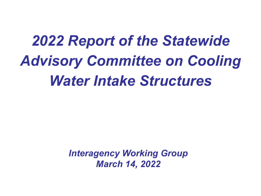# *2022 Report of the Statewide Advisory Committee on Cooling Water Intake Structures*

*Interagency Working Group March 14, 2022*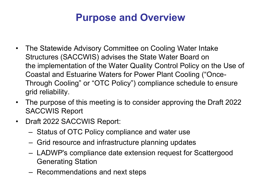## **Purpose and Overview**

- The Statewide Advisory Committee on Cooling Water Intake Structures (SACCWIS) advises the State Water Board on the implementation of the Water Quality Control Policy on the Use of Coastal and Estuarine Waters for Power Plant Cooling ("Once-Through Cooling" or "OTC Policy") compliance schedule to ensure grid reliability.
- The purpose of this meeting is to consider approving the Draft 2022 SACCWIS Report
- Draft 2022 SACCWIS Report:
	- Status of OTC Policy compliance and water use
	- Grid resource and infrastructure planning updates
	- LADWP's compliance date extension request for Scattergood Generating Station
	- Recommendations and next steps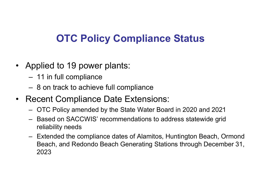## **OTC Policy Compliance Status**

- Applied to 19 power plants:
	- 11 in full compliance
	- 8 on track to achieve full compliance
- Recent Compliance Date Extensions:
	- OTC Policy amended by the State Water Board in 2020 and 2021
	- Based on SACCWIS' recommendations to address statewide grid reliability needs
	- Extended the compliance dates of Alamitos, Huntington Beach, Ormond Beach, and Redondo Beach Generating Stations through December 31, 2023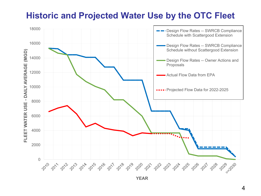#### **Historic and Projected Water Use by the OTC Fleet**



**YEAR**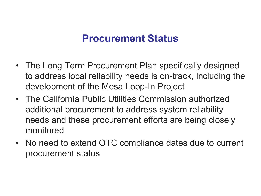### **Procurement Status**

- The Long Term Procurement Plan specifically designed to address local reliability needs is on-track, including the development of the Mesa Loop-In Project
- The California Public Utilities Commission authorized additional procurement to address system reliability needs and these procurement efforts are being closely monitored
- No need to extend OTC compliance dates due to current procurement status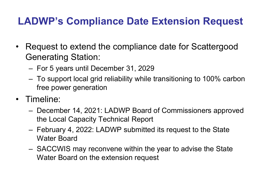## **LADWP's Compliance Date Extension Request**

- Request to extend the compliance date for Scattergood Generating Station:
	- For 5 years until December 31, 2029
	- To support local grid reliability while transitioning to 100% carbon free power generation
- Timeline:
	- December 14, 2021: LADWP Board of Commissioners approved the Local Capacity Technical Report
	- February 4, 2022: LADWP submitted its request to the State Water Board
	- SACCWIS may reconvene within the year to advise the State Water Board on the extension request